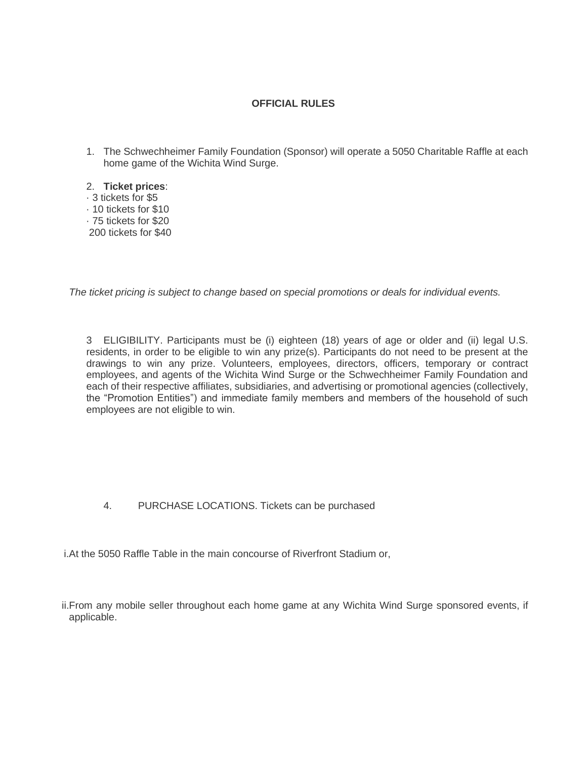## **OFFICIAL RULES**

- 1. The Schwechheimer Family Foundation (Sponsor) will operate a 5050 Charitable Raffle at each home game of the Wichita Wind Surge.
- 2. **Ticket prices**:
- · 3 tickets for \$5 · 10 tickets for \$10 · 75 tickets for \$20 200 tickets for \$40

*The ticket pricing is subject to change based on special promotions or deals for individual events.*

3 ELIGIBILITY. Participants must be (i) eighteen (18) years of age or older and (ii) legal U.S. residents, in order to be eligible to win any prize(s). Participants do not need to be present at the drawings to win any prize. Volunteers, employees, directors, officers, temporary or contract employees, and agents of the Wichita Wind Surge or the Schwechheimer Family Foundation and each of their respective affiliates, subsidiaries, and advertising or promotional agencies (collectively, the "Promotion Entities") and immediate family members and members of the household of such employees are not eligible to win.

4. PURCHASE LOCATIONS. Tickets can be purchased

i.At the 5050 Raffle Table in the main concourse of Riverfront Stadium or,

ii.From any mobile seller throughout each home game at any Wichita Wind Surge sponsored events, if applicable.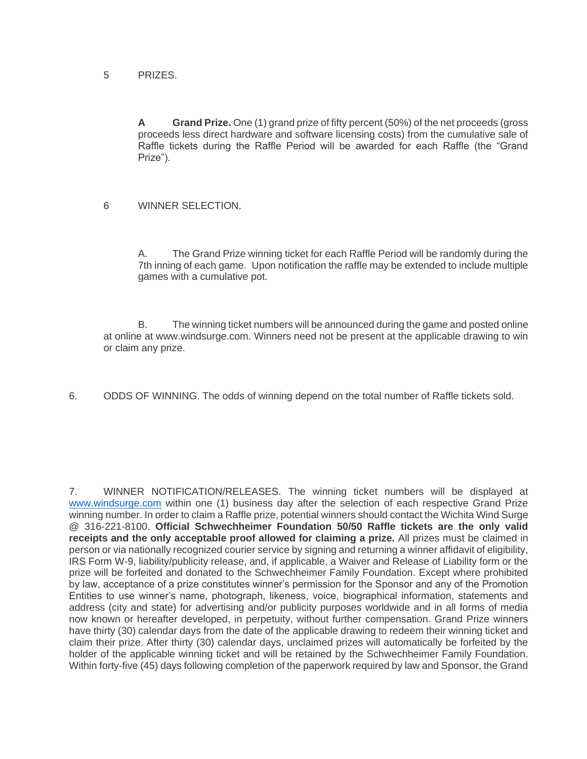## 5 PRIZES.

**A Grand Prize.** One (1) grand prize of fifty percent (50%) of the net proceeds (gross proceeds less direct hardware and software licensing costs) from the cumulative sale of Raffle tickets during the Raffle Period will be awarded for each Raffle (the "Grand Prize").

## 6 WINNER SELECTION.

A. The Grand Prize winning ticket for each Raffle Period will be randomly during the 7th inning of each game. Upon notification the raffle may be extended to include multiple games with a cumulative pot.

B. The winning ticket numbers will be announced during the game and posted online at online at www.windsurge.com. Winners need not be present at the applicable drawing to win or claim any prize.

6. ODDS OF WINNING. The odds of winning depend on the total number of Raffle tickets sold.

7. WINNER NOTIFICATION/RELEASES. The winning ticket numbers will be displayed at [www.windsurge.com](http://www.windsurge.com/) within one (1) business day after the selection of each respective Grand Prize winning number. In order to claim a Raffle prize, potential winners should contact the Wichita Wind Surge @ 316-221-8100. **Official Schwechheimer Foundation 50/50 Raffle tickets are the only valid receipts and the only acceptable proof allowed for claiming a prize.** All prizes must be claimed in person or via nationally recognized courier service by signing and returning a winner affidavit of eligibility, IRS Form W-9, liability/publicity release, and, if applicable, a Waiver and Release of Liability form or the prize will be forfeited and donated to the Schwechheimer Family Foundation. Except where prohibited by law, acceptance of a prize constitutes winner's permission for the Sponsor and any of the Promotion Entities to use winner's name, photograph, likeness, voice, biographical information, statements and address (city and state) for advertising and/or publicity purposes worldwide and in all forms of media now known or hereafter developed, in perpetuity, without further compensation. Grand Prize winners have thirty (30) calendar days from the date of the applicable drawing to redeem their winning ticket and claim their prize. After thirty (30) calendar days, unclaimed prizes will automatically be forfeited by the holder of the applicable winning ticket and will be retained by the Schwechheimer Family Foundation. Within forty-five (45) days following completion of the paperwork required by law and Sponsor, the Grand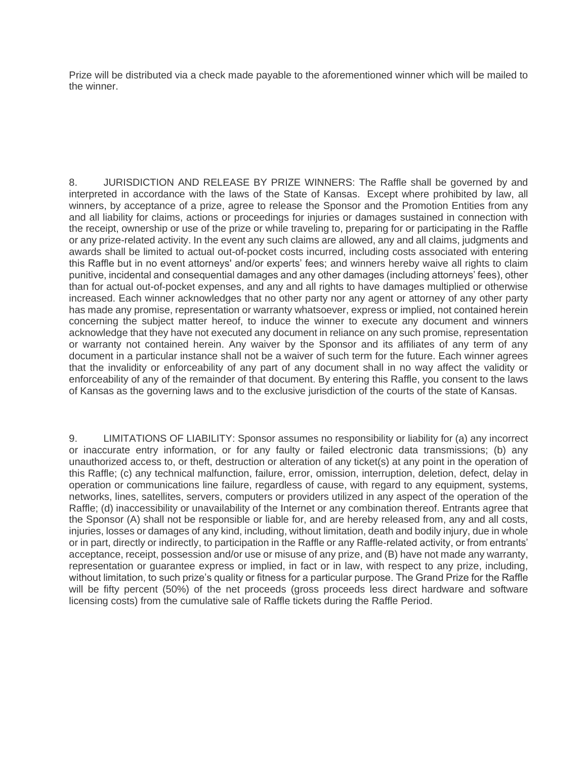Prize will be distributed via a check made payable to the aforementioned winner which will be mailed to the winner.

8. JURISDICTION AND RELEASE BY PRIZE WINNERS: The Raffle shall be governed by and interpreted in accordance with the laws of the State of Kansas. Except where prohibited by law, all winners, by acceptance of a prize, agree to release the Sponsor and the Promotion Entities from any and all liability for claims, actions or proceedings for injuries or damages sustained in connection with the receipt, ownership or use of the prize or while traveling to, preparing for or participating in the Raffle or any prize-related activity. In the event any such claims are allowed, any and all claims, judgments and awards shall be limited to actual out-of-pocket costs incurred, including costs associated with entering this Raffle but in no event attorneys' and/or experts' fees; and winners hereby waive all rights to claim punitive, incidental and consequential damages and any other damages (including attorneys' fees), other than for actual out-of-pocket expenses, and any and all rights to have damages multiplied or otherwise increased. Each winner acknowledges that no other party nor any agent or attorney of any other party has made any promise, representation or warranty whatsoever, express or implied, not contained herein concerning the subject matter hereof, to induce the winner to execute any document and winners acknowledge that they have not executed any document in reliance on any such promise, representation or warranty not contained herein. Any waiver by the Sponsor and its affiliates of any term of any document in a particular instance shall not be a waiver of such term for the future. Each winner agrees that the invalidity or enforceability of any part of any document shall in no way affect the validity or enforceability of any of the remainder of that document. By entering this Raffle, you consent to the laws of Kansas as the governing laws and to the exclusive jurisdiction of the courts of the state of Kansas.

9. LIMITATIONS OF LIABILITY: Sponsor assumes no responsibility or liability for (a) any incorrect or inaccurate entry information, or for any faulty or failed electronic data transmissions; (b) any unauthorized access to, or theft, destruction or alteration of any ticket(s) at any point in the operation of this Raffle; (c) any technical malfunction, failure, error, omission, interruption, deletion, defect, delay in operation or communications line failure, regardless of cause, with regard to any equipment, systems, networks, lines, satellites, servers, computers or providers utilized in any aspect of the operation of the Raffle; (d) inaccessibility or unavailability of the Internet or any combination thereof. Entrants agree that the Sponsor (A) shall not be responsible or liable for, and are hereby released from, any and all costs, injuries, losses or damages of any kind, including, without limitation, death and bodily injury, due in whole or in part, directly or indirectly, to participation in the Raffle or any Raffle-related activity, or from entrants' acceptance, receipt, possession and/or use or misuse of any prize, and (B) have not made any warranty, representation or guarantee express or implied, in fact or in law, with respect to any prize, including, without limitation, to such prize's quality or fitness for a particular purpose. The Grand Prize for the Raffle will be fifty percent (50%) of the net proceeds (gross proceeds less direct hardware and software licensing costs) from the cumulative sale of Raffle tickets during the Raffle Period.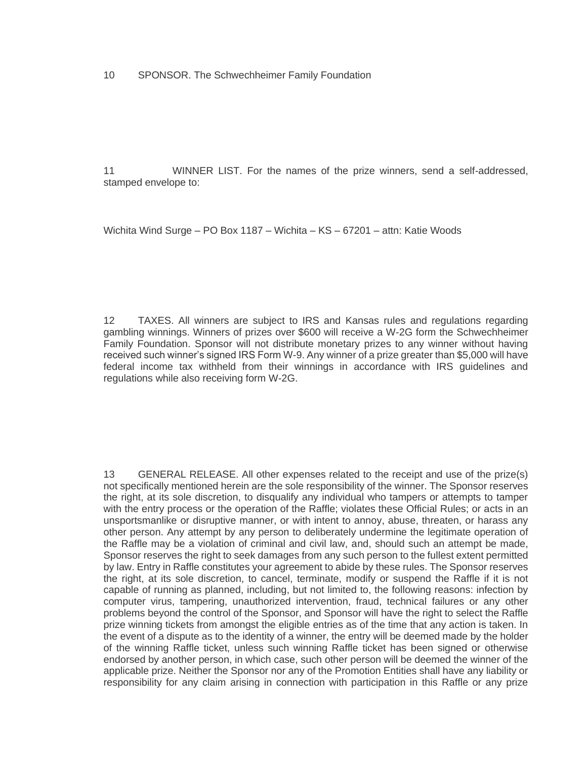11 WINNER LIST. For the names of the prize winners, send a self-addressed, stamped envelope to:

Wichita Wind Surge – PO Box 1187 – Wichita – KS – 67201 – attn: Katie Woods

12 TAXES. All winners are subject to IRS and Kansas rules and regulations regarding gambling winnings. Winners of prizes over \$600 will receive a W-2G form the Schwechheimer Family Foundation. Sponsor will not distribute monetary prizes to any winner without having received such winner's signed IRS Form W-9. Any winner of a prize greater than \$5,000 will have federal income tax withheld from their winnings in accordance with IRS guidelines and regulations while also receiving form W-2G.

13 GENERAL RELEASE. All other expenses related to the receipt and use of the prize(s) not specifically mentioned herein are the sole responsibility of the winner. The Sponsor reserves the right, at its sole discretion, to disqualify any individual who tampers or attempts to tamper with the entry process or the operation of the Raffle; violates these Official Rules; or acts in an unsportsmanlike or disruptive manner, or with intent to annoy, abuse, threaten, or harass any other person. Any attempt by any person to deliberately undermine the legitimate operation of the Raffle may be a violation of criminal and civil law, and, should such an attempt be made, Sponsor reserves the right to seek damages from any such person to the fullest extent permitted by law. Entry in Raffle constitutes your agreement to abide by these rules. The Sponsor reserves the right, at its sole discretion, to cancel, terminate, modify or suspend the Raffle if it is not capable of running as planned, including, but not limited to, the following reasons: infection by computer virus, tampering, unauthorized intervention, fraud, technical failures or any other problems beyond the control of the Sponsor, and Sponsor will have the right to select the Raffle prize winning tickets from amongst the eligible entries as of the time that any action is taken. In the event of a dispute as to the identity of a winner, the entry will be deemed made by the holder of the winning Raffle ticket, unless such winning Raffle ticket has been signed or otherwise endorsed by another person, in which case, such other person will be deemed the winner of the applicable prize. Neither the Sponsor nor any of the Promotion Entities shall have any liability or responsibility for any claim arising in connection with participation in this Raffle or any prize